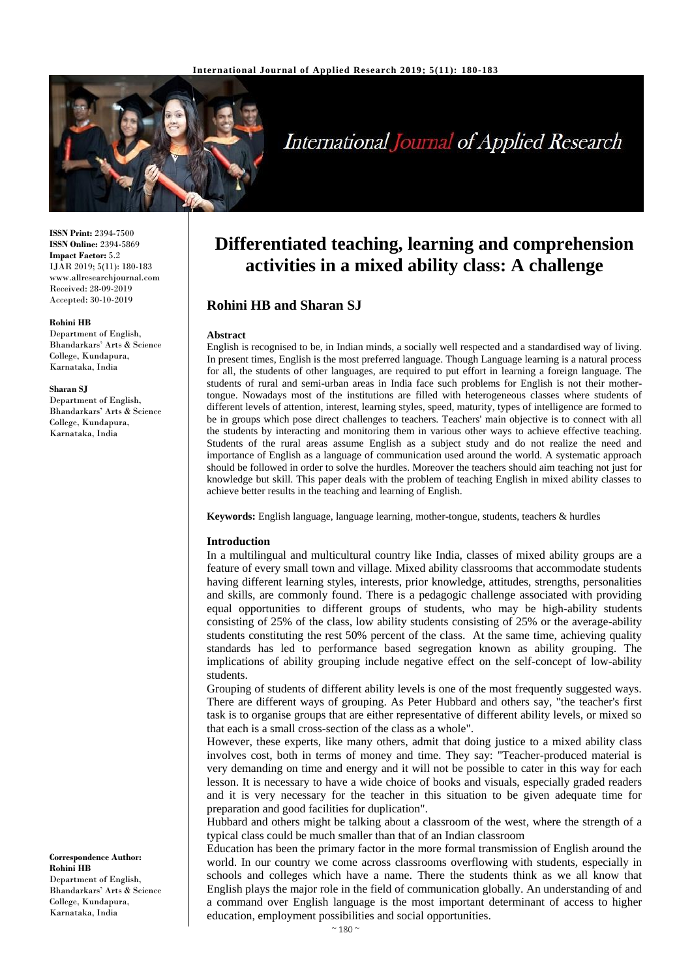

# **International Journal of Applied Research**

**ISSN Print:** 2394-7500 **ISSN Online:** 2394-5869 **Impact Factor:** 5.2 IJAR 2019; 5(11): 180-183 www.allresearchjournal.com Received: 28-09-2019 Accepted: 30-10-2019

#### **Rohini HB**

Department of English, Bhandarkars' Arts & Science College, Kundapura, Karnataka, India

#### **Sharan SJ**

Department of English, Bhandarkars' Arts & Science College, Kundapura, Karnataka, India

# **Differentiated teaching, learning and comprehension activities in a mixed ability class: A challenge**

### **Rohini HB and Sharan SJ**

#### **Abstract**

English is recognised to be, in Indian minds, a socially well respected and a standardised way of living. In present times, English is the most preferred language. Though Language learning is a natural process for all, the students of other languages, are required to put effort in learning a foreign language. The students of rural and semi-urban areas in India face such problems for English is not their mothertongue. Nowadays most of the institutions are filled with heterogeneous classes where students of different levels of attention, interest, learning styles, speed, maturity, types of intelligence are formed to be in groups which pose direct challenges to teachers. Teachers' main objective is to connect with all the students by interacting and monitoring them in various other ways to achieve effective teaching. Students of the rural areas assume English as a subject study and do not realize the need and importance of English as a language of communication used around the world. A systematic approach should be followed in order to solve the hurdles. Moreover the teachers should aim teaching not just for knowledge but skill. This paper deals with the problem of teaching English in mixed ability classes to achieve better results in the teaching and learning of English.

**Keywords:** English language, language learning, mother-tongue, students, teachers & hurdles

#### **Introduction**

In a multilingual and multicultural country like India, classes of mixed ability groups are a feature of every small town and village. Mixed ability classrooms that accommodate students having different learning styles, interests, prior knowledge, attitudes, strengths, personalities and skills, are commonly found. There is a pedagogic challenge associated with providing equal opportunities to different groups of students, who may be high-ability students consisting of 25% of the class, low ability students consisting of 25% or the average-ability students constituting the rest 50% percent of the class. At the same time, achieving quality standards has led to performance based segregation known as ability grouping. The implications of ability grouping include negative effect on the self-concept of low-ability students.

Grouping of students of different ability levels is one of the most frequently suggested ways. There are different ways of grouping. As Peter Hubbard and others say, "the teacher's first task is to organise groups that are either representative of different ability levels, or mixed so that each is a small cross-section of the class as a whole".

However, these experts, like many others, admit that doing justice to a mixed ability class involves cost, both in terms of money and time. They say: "Teacher-produced material is very demanding on time and energy and it will not be possible to cater in this way for each lesson. It is necessary to have a wide choice of books and visuals, especially graded readers and it is very necessary for the teacher in this situation to be given adequate time for preparation and good facilities for duplication".

Hubbard and others might be talking about a classroom of the west, where the strength of a typical class could be much smaller than that of an Indian classroom

Education has been the primary factor in the more formal transmission of English around the world. In our country we come across classrooms overflowing with students, especially in schools and colleges which have a name. There the students think as we all know that English plays the major role in the field of communication globally. An understanding of and a command over English language is the most important determinant of access to higher education, employment possibilities and social opportunities.

**Correspondence Author: Rohini HB** Department of English, Bhandarkars' Arts & Science College, Kundapura, Karnataka, India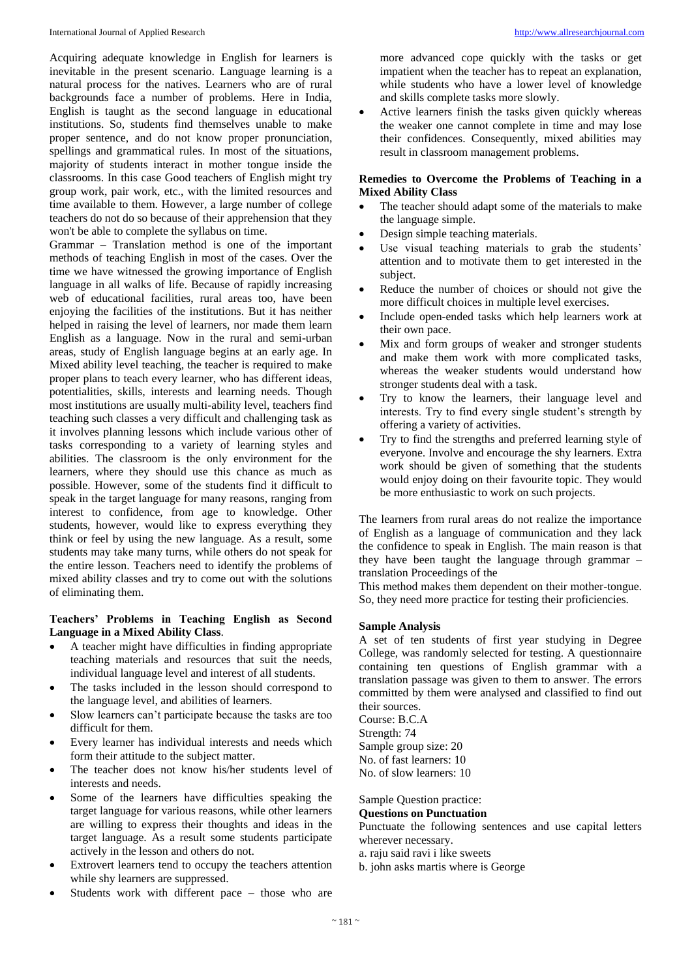Acquiring adequate knowledge in English for learners is inevitable in the present scenario. Language learning is a natural process for the natives. Learners who are of rural backgrounds face a number of problems. Here in India, English is taught as the second language in educational institutions. So, students find themselves unable to make proper sentence, and do not know proper pronunciation, spellings and grammatical rules. In most of the situations, majority of students interact in mother tongue inside the classrooms. In this case Good teachers of English might try group work, pair work, etc., with the limited resources and time available to them. However, a large number of college teachers do not do so because of their apprehension that they won't be able to complete the syllabus on time.

Grammar – Translation method is one of the important methods of teaching English in most of the cases. Over the time we have witnessed the growing importance of English language in all walks of life. Because of rapidly increasing web of educational facilities, rural areas too, have been enjoying the facilities of the institutions. But it has neither helped in raising the level of learners, nor made them learn English as a language. Now in the rural and semi-urban areas, study of English language begins at an early age. In Mixed ability level teaching, the teacher is required to make proper plans to teach every learner, who has different ideas, potentialities, skills, interests and learning needs. Though most institutions are usually multi-ability level, teachers find teaching such classes a very difficult and challenging task as it involves planning lessons which include various other of tasks corresponding to a variety of learning styles and abilities. The classroom is the only environment for the learners, where they should use this chance as much as possible. However, some of the students find it difficult to speak in the target language for many reasons, ranging from interest to confidence, from age to knowledge. Other students, however, would like to express everything they think or feel by using the new language. As a result, some students may take many turns, while others do not speak for the entire lesson. Teachers need to identify the problems of mixed ability classes and try to come out with the solutions of eliminating them.

#### **Teachers' Problems in Teaching English as Second Language in a Mixed Ability Class**.

- A teacher might have difficulties in finding appropriate teaching materials and resources that suit the needs, individual language level and interest of all students.
- The tasks included in the lesson should correspond to the language level, and abilities of learners.
- Slow learners can't participate because the tasks are too difficult for them.
- Every learner has individual interests and needs which form their attitude to the subject matter.
- The teacher does not know his/her students level of interests and needs.
- Some of the learners have difficulties speaking the target language for various reasons, while other learners are willing to express their thoughts and ideas in the target language. As a result some students participate actively in the lesson and others do not.
- Extrovert learners tend to occupy the teachers attention while shy learners are suppressed.
- Students work with different pace those who are

more advanced cope quickly with the tasks or get impatient when the teacher has to repeat an explanation, while students who have a lower level of knowledge and skills complete tasks more slowly.

 Active learners finish the tasks given quickly whereas the weaker one cannot complete in time and may lose their confidences. Consequently, mixed abilities may result in classroom management problems.

#### **Remedies to Overcome the Problems of Teaching in a Mixed Ability Class**

- The teacher should adapt some of the materials to make the language simple.
- Design simple teaching materials.
- Use visual teaching materials to grab the students' attention and to motivate them to get interested in the subject.
- Reduce the number of choices or should not give the more difficult choices in multiple level exercises.
- Include open-ended tasks which help learners work at their own pace.
- Mix and form groups of weaker and stronger students and make them work with more complicated tasks, whereas the weaker students would understand how stronger students deal with a task.
- Try to know the learners, their language level and interests. Try to find every single student's strength by offering a variety of activities.
- Try to find the strengths and preferred learning style of everyone. Involve and encourage the shy learners. Extra work should be given of something that the students would enjoy doing on their favourite topic. They would be more enthusiastic to work on such projects.

The learners from rural areas do not realize the importance of English as a language of communication and they lack the confidence to speak in English. The main reason is that they have been taught the language through grammar – translation Proceedings of the

This method makes them dependent on their mother-tongue. So, they need more practice for testing their proficiencies.

#### **Sample Analysis**

A set of ten students of first year studying in Degree College, was randomly selected for testing. A questionnaire containing ten questions of English grammar with a translation passage was given to them to answer. The errors committed by them were analysed and classified to find out their sources.

Course: B.C.A Strength: 74 Sample group size: 20 No. of fast learners: 10 No. of slow learners: 10

#### Sample Question practice:

#### **Questions on Punctuation**

Punctuate the following sentences and use capital letters wherever necessary.

- a. raju said ravi i like sweets
- b. john asks martis where is George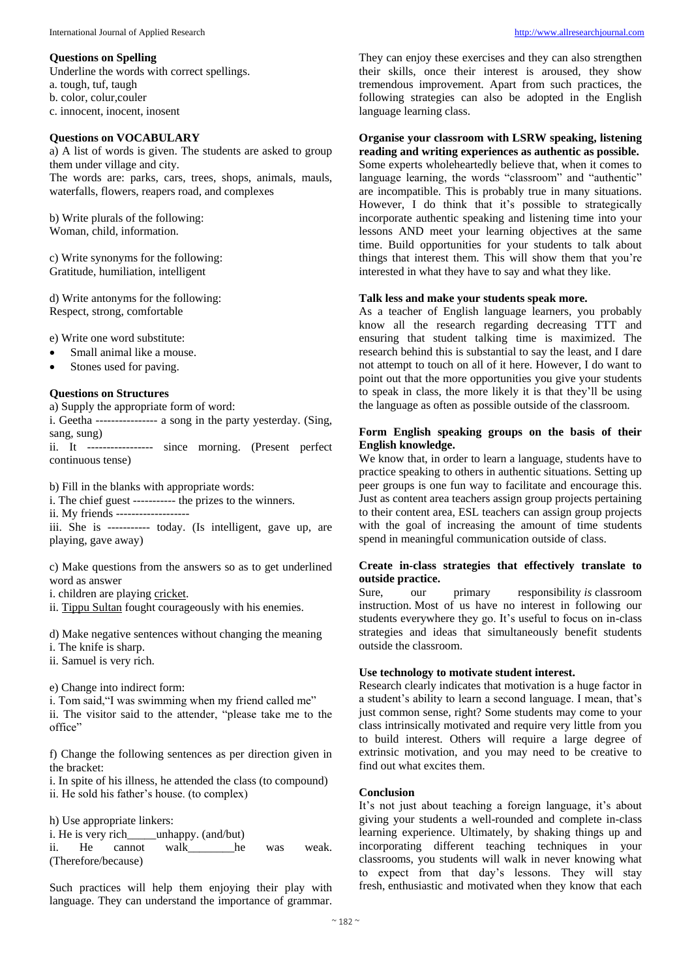#### **Questions on Spelling**

Underline the words with correct spellings.

a. tough, tuf, taugh

b. color, colur,couler

c. innocent, inocent, inosent

#### **Questions on VOCABULARY**

a) A list of words is given. The students are asked to group them under village and city. The words are: parks, cars, trees, shops, animals, mauls, waterfalls, flowers, reapers road, and complexes

b) Write plurals of the following: Woman, child, information.

c) Write synonyms for the following: Gratitude, humiliation, intelligent

d) Write antonyms for the following: Respect, strong, comfortable

e) Write one word substitute:

- Small animal like a mouse.
- Stones used for paving.

#### **Questions on Structures**

a) Supply the appropriate form of word:

i. Geetha ---------------- a song in the party yesterday. (Sing, sang, sung)

ii. It ----------------- since morning. (Present perfect continuous tense)

b) Fill in the blanks with appropriate words:

i. The chief guest ----------- the prizes to the winners.

ii. My friends -------------------

iii. She is ----------- today. (Is intelligent, gave up, are playing, gave away)

c) Make questions from the answers so as to get underlined word as answer

i. children are playing cricket.

ii. Tippu Sultan fought courageously with his enemies.

d) Make negative sentences without changing the meaning i. The knife is sharp.

ii. Samuel is very rich.

e) Change into indirect form:

i. Tom said,"I was swimming when my friend called me" ii. The visitor said to the attender, "please take me to the office"

f) Change the following sentences as per direction given in the bracket:

i. In spite of his illness, he attended the class (to compound) ii. He sold his father's house. (to complex)

h) Use appropriate linkers:

i. He is very rich unhappy. (and/but) ii. He cannot walk he was weak. (Therefore/because)

Such practices will help them enjoying their play with language. They can understand the importance of grammar.

They can enjoy these exercises and they can also strengthen their skills, once their interest is aroused, they show tremendous improvement. Apart from such practices, the following strategies can also be adopted in the English language learning class.

## **Organise your classroom with LSRW speaking, listening**

**reading and writing experiences as authentic as possible.** Some experts wholeheartedly believe that, when it comes to language learning, the words "classroom" and "authentic" are incompatible. This is probably true in many situations. However, I do think that it's possible to strategically incorporate authentic speaking and listening time into your lessons AND meet your learning objectives at the same time. Build opportunities for your students to talk about things that interest them. This will show them that you're interested in what they have to say and what they like.

#### **Talk less and make your students speak more.**

As a teacher of English language learners, you probably know all the research regarding decreasing TTT and ensuring that student talking time is maximized. The research behind this is substantial to say the least, and I dare not attempt to touch on all of it here. However, I do want to point out that the more opportunities you give your students to speak in class, the more likely it is that they'll be using the language as often as possible outside of the classroom.

#### **Form English speaking groups on the basis of their English knowledge.**

We know that, in order to learn a language, students have to practice speaking to others in authentic situations. Setting up peer groups is one fun way to facilitate and encourage this. Just as content area teachers assign group projects pertaining to their content area, ESL teachers can assign group projects with the goal of increasing the amount of time students spend in meaningful communication outside of class.

#### **Create in-class strategies that effectively translate to outside practice.**

Sure, our primary responsibility *is* classroom instruction. Most of us have no interest in following our students everywhere they go. It's useful to focus on in-class strategies and ideas that simultaneously benefit students outside the classroom.

#### **Use technology to motivate student interest.**

Research clearly indicates that motivation is a huge factor in a student's ability to learn a second language. I mean, that's just common sense, right? Some students may come to your class intrinsically motivated and require very little from you to build interest. Others will require a large degree of extrinsic motivation, and you may need to be creative to find out what excites them.

#### **Conclusion**

It's not just about teaching a foreign language, it's about giving your students a well-rounded and complete in-class learning experience. Ultimately, by shaking things up and incorporating different teaching techniques in your classrooms, you students will walk in never knowing what to expect from that day's lessons. They will stay fresh, enthusiastic and motivated when they know that each